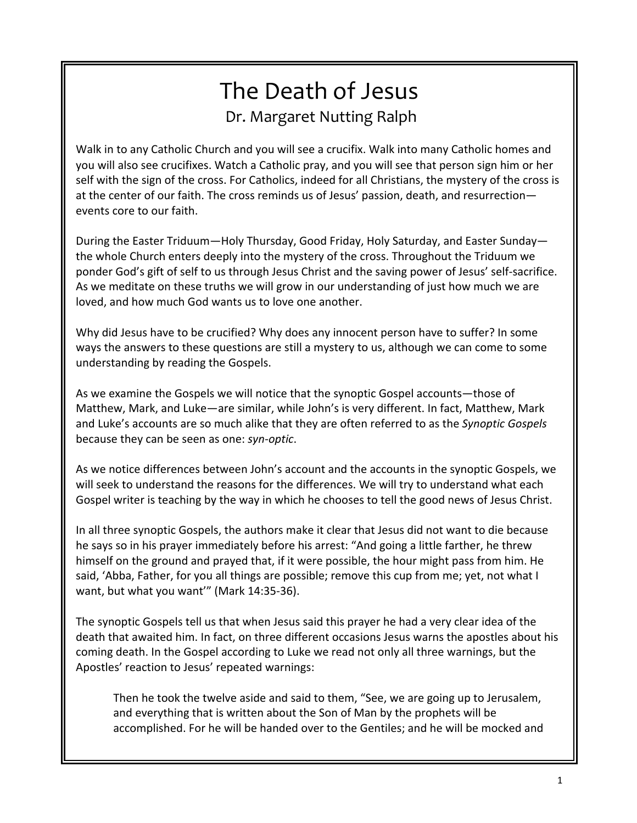# The Death of Jesus Dr. Margaret Nutting Ralph

Walk in to any Catholic Church and you will see a crucifix. Walk into many Catholic homes and you will also see crucifixes. Watch a Catholic pray, and you will see that person sign him or her self with the sign of the cross. For Catholics, indeed for all Christians, the mystery of the cross is at the center of our faith. The cross reminds us of Jesus' passion, death, and resurrection events core to our faith.

During the Easter Triduum—Holy Thursday, Good Friday, Holy Saturday, and Easter Sunday the whole Church enters deeply into the mystery of the cross. Throughout the Triduum we ponder God's gift of self to us through Jesus Christ and the saving power of Jesus' self-sacrifice. As we meditate on these truths we will grow in our understanding of just how much we are loved, and how much God wants us to love one another.

Why did Jesus have to be crucified? Why does any innocent person have to suffer? In some ways the answers to these questions are still a mystery to us, although we can come to some understanding by reading the Gospels.

As we examine the Gospels we will notice that the synoptic Gospel accounts—those of Matthew, Mark, and Luke—are similar, while John's is very different. In fact, Matthew, Mark and Luke's accounts are so much alike that they are often referred to as the *Synoptic Gospels* because they can be seen as one: *syn-optic*.

As we notice differences between John's account and the accounts in the synoptic Gospels, we will seek to understand the reasons for the differences. We will try to understand what each Gospel writer is teaching by the way in which he chooses to tell the good news of Jesus Christ.

In all three synoptic Gospels, the authors make it clear that Jesus did not want to die because he says so in his prayer immediately before his arrest: "And going a little farther, he threw himself on the ground and prayed that, if it were possible, the hour might pass from him. He said, 'Abba, Father, for you all things are possible; remove this cup from me; yet, not what I want, but what you want'" (Mark 14:35-36).

The synoptic Gospels tell us that when Jesus said this prayer he had a very clear idea of the death that awaited him. In fact, on three different occasions Jesus warns the apostles about his coming death. In the Gospel according to Luke we read not only all three warnings, but the Apostles' reaction to Jesus' repeated warnings:

Then he took the twelve aside and said to them, "See, we are going up to Jerusalem, and everything that is written about the Son of Man by the prophets will be accomplished. For he will be handed over to the Gentiles; and he will be mocked and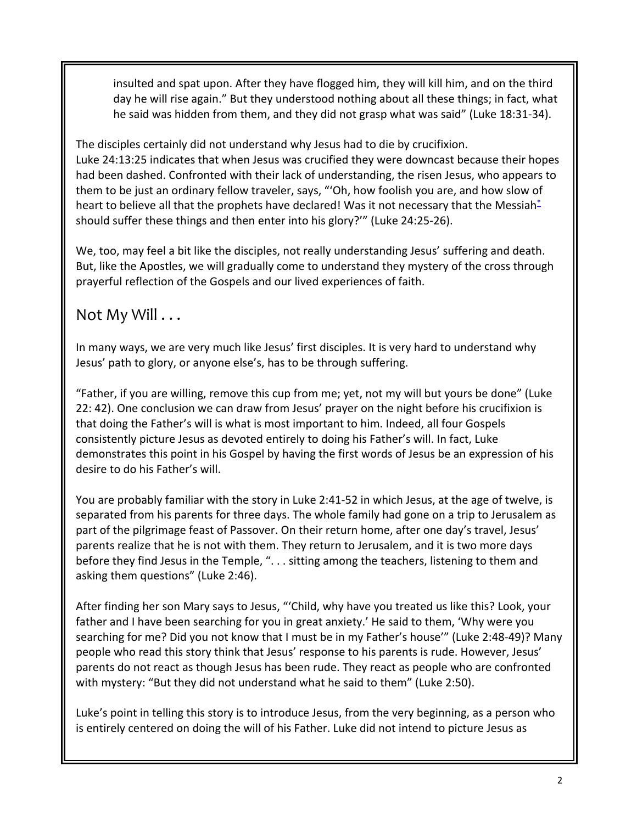insulted and spat upon. After they have flogged him, they will kill him, and on the third day he will rise again." But they understood nothing about all these things; in fact, what he said was hidden from them, and they did not grasp what was said" (Luke 18:31-34).

The disciples certainly did not understand why Jesus had to die by crucifixion. Luke 24:13:25 indicates that when Jesus was crucified they were downcast because their hopes had been dashed. Confronted with their lack of understanding, the risen Jesus, who appears to them to be just an ordinary fellow traveler, says, "'Oh, how foolish you are, and how slow of heart to believe all that the prophets have declared! Was it not necessary that the Messiah\* should suffer these things and then enter into his glory?'" (Luke 24:25-26).

We, too, may feel a bit like the disciples, not really understanding Jesus' suffering and death. But, like the Apostles, we will gradually come to understand they mystery of the cross through prayerful reflection of the Gospels and our lived experiences of faith.

#### Not My Will . . .

In many ways, we are very much like Jesus' first disciples. It is very hard to understand why Jesus' path to glory, or anyone else's, has to be through suffering.

"Father, if you are willing, remove this cup from me; yet, not my will but yours be done" (Luke 22: 42). One conclusion we can draw from Jesus' prayer on the night before his crucifixion is that doing the Father's will is what is most important to him. Indeed, all four Gospels consistently picture Jesus as devoted entirely to doing his Father's will. In fact, Luke demonstrates this point in his Gospel by having the first words of Jesus be an expression of his desire to do his Father's will.

You are probably familiar with the story in Luke 2:41-52 in which Jesus, at the age of twelve, is separated from his parents for three days. The whole family had gone on a trip to Jerusalem as part of the pilgrimage feast of Passover. On their return home, after one day's travel, Jesus' parents realize that he is not with them. They return to Jerusalem, and it is two more days before they find Jesus in the Temple, ". . . sitting among the teachers, listening to them and asking them questions" (Luke 2:46).

After finding her son Mary says to Jesus, "'Child, why have you treated us like this? Look, your father and I have been searching for you in great anxiety.' He said to them, 'Why were you searching for me? Did you not know that I must be in my Father's house'" (Luke 2:48-49)? Many people who read this story think that Jesus' response to his parents is rude. However, Jesus' parents do not react as though Jesus has been rude. They react as people who are confronted with mystery: "But they did not understand what he said to them" (Luke 2:50).

Luke's point in telling this story is to introduce Jesus, from the very beginning, as a person who is entirely centered on doing the will of his Father. Luke did not intend to picture Jesus as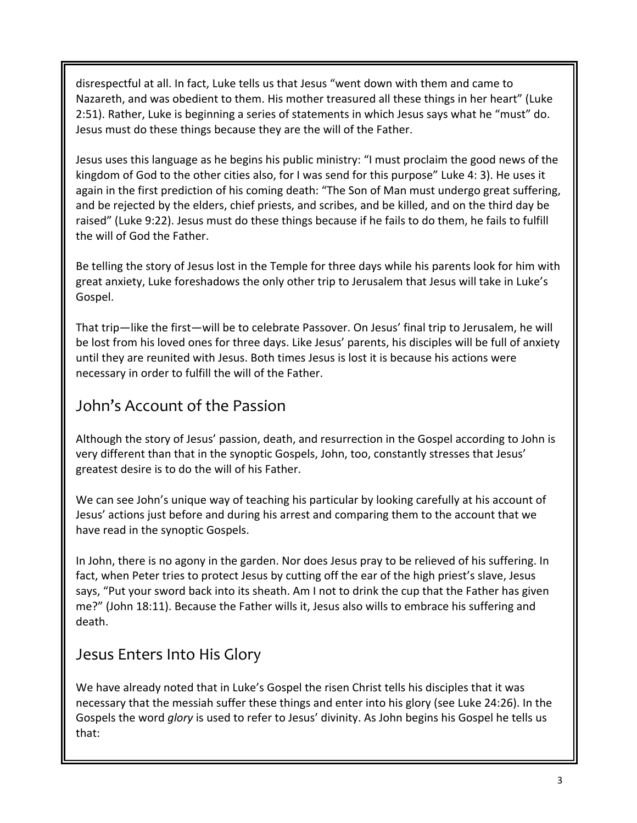disrespectful at all. In fact, Luke tells us that Jesus "went down with them and came to Nazareth, and was obedient to them. His mother treasured all these things in her heart" (Luke 2:51). Rather, Luke is beginning a series of statements in which Jesus says what he "must" do. Jesus must do these things because they are the will of the Father.

Jesus uses this language as he begins his public ministry: "I must proclaim the good news of the kingdom of God to the other cities also, for I was send for this purpose" Luke 4: 3). He uses it again in the first prediction of his coming death: "The Son of Man must undergo great suffering, and be rejected by the elders, chief priests, and scribes, and be killed, and on the third day be raised" (Luke 9:22). Jesus must do these things because if he fails to do them, he fails to fulfill the will of God the Father.

Be telling the story of Jesus lost in the Temple for three days while his parents look for him with great anxiety, Luke foreshadows the only other trip to Jerusalem that Jesus will take in Luke's Gospel.

That trip—like the first—will be to celebrate Passover. On Jesus' final trip to Jerusalem, he will be lost from his loved ones for three days. Like Jesus' parents, his disciples will be full of anxiety until they are reunited with Jesus. Both times Jesus is lost it is because his actions were necessary in order to fulfill the will of the Father.

## John's Account of the Passion

Although the story of Jesus' passion, death, and resurrection in the Gospel according to John is very different than that in the synoptic Gospels, John, too, constantly stresses that Jesus' greatest desire is to do the will of his Father.

We can see John's unique way of teaching his particular by looking carefully at his account of Jesus' actions just before and during his arrest and comparing them to the account that we have read in the synoptic Gospels.

In John, there is no agony in the garden. Nor does Jesus pray to be relieved of his suffering. In fact, when Peter tries to protect Jesus by cutting off the ear of the high priest's slave, Jesus says, "Put your sword back into its sheath. Am I not to drink the cup that the Father has given me?" (John 18:11). Because the Father wills it, Jesus also wills to embrace his suffering and death.

#### Jesus Enters Into His Glory

We have already noted that in Luke's Gospel the risen Christ tells his disciples that it was necessary that the messiah suffer these things and enter into his glory (see Luke 24:26). In the Gospels the word *glory* is used to refer to Jesus' divinity. As John begins his Gospel he tells us that: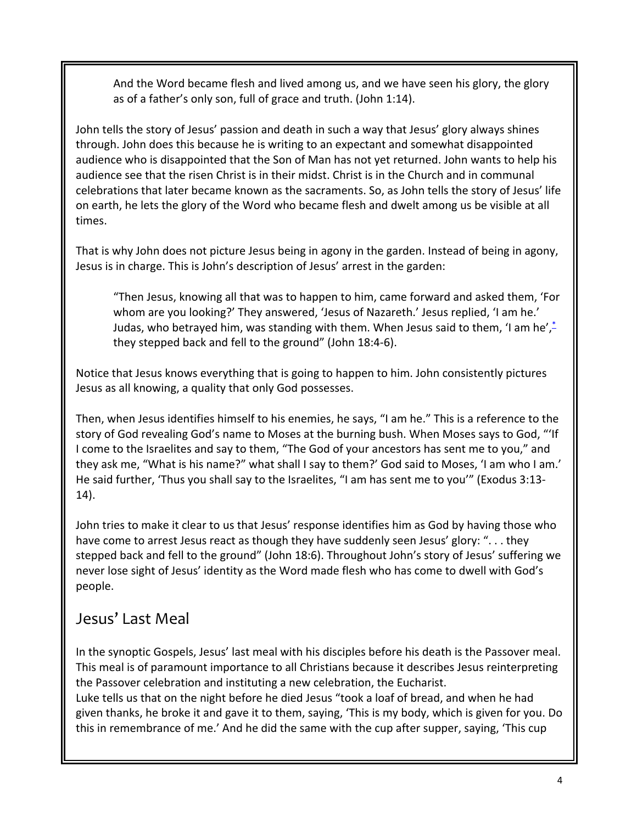And the Word became flesh and lived among us, and we have seen his glory, the glory as of a father's only son, full of grace and truth. (John 1:14).

John tells the story of Jesus' passion and death in such a way that Jesus' glory always shines through. John does this because he is writing to an expectant and somewhat disappointed audience who is disappointed that the Son of Man has not yet returned. John wants to help his audience see that the risen Christ is in their midst. Christ is in the Church and in communal celebrations that later became known as the sacraments. So, as John tells the story of Jesus' life on earth, he lets the glory of the Word who became flesh and dwelt among us be visible at all times.

That is why John does not picture Jesus being in agony in the garden. Instead of being in agony, Jesus is in charge. This is John's description of Jesus' arrest in the garden:

"Then Jesus, knowing all that was to happen to him, came forward and asked them, 'For whom are you looking?' They answered, 'Jesus of Nazareth.' Jesus replied, 'I am he.' Judas, who betrayed him, was standing with them. When Jesus said to them, 'I am he',\* they stepped back and fell to the ground" (John 18:4-6).

Notice that Jesus knows everything that is going to happen to him. John consistently pictures Jesus as all knowing, a quality that only God possesses.

Then, when Jesus identifies himself to his enemies, he says, "I am he." This is a reference to the story of God revealing God's name to Moses at the burning bush. When Moses says to God, "'If I come to the Israelites and say to them, "The God of your ancestors has sent me to you," and they ask me, "What is his name?" what shall I say to them?' God said to Moses, 'I am who I am.' He said further, 'Thus you shall say to the Israelites, "I am has sent me to you'" (Exodus 3:13- 14).

John tries to make it clear to us that Jesus' response identifies him as God by having those who have come to arrest Jesus react as though they have suddenly seen Jesus' glory: ". . . they stepped back and fell to the ground" (John 18:6). Throughout John's story of Jesus' suffering we never lose sight of Jesus' identity as the Word made flesh who has come to dwell with God's people.

#### Jesus' Last Meal

In the synoptic Gospels, Jesus' last meal with his disciples before his death is the Passover meal. This meal is of paramount importance to all Christians because it describes Jesus reinterpreting the Passover celebration and instituting a new celebration, the Eucharist. Luke tells us that on the night before he died Jesus "took a loaf of bread, and when he had given thanks, he broke it and gave it to them, saying, 'This is my body, which is given for you. Do this in remembrance of me.' And he did the same with the cup after supper, saying, 'This cup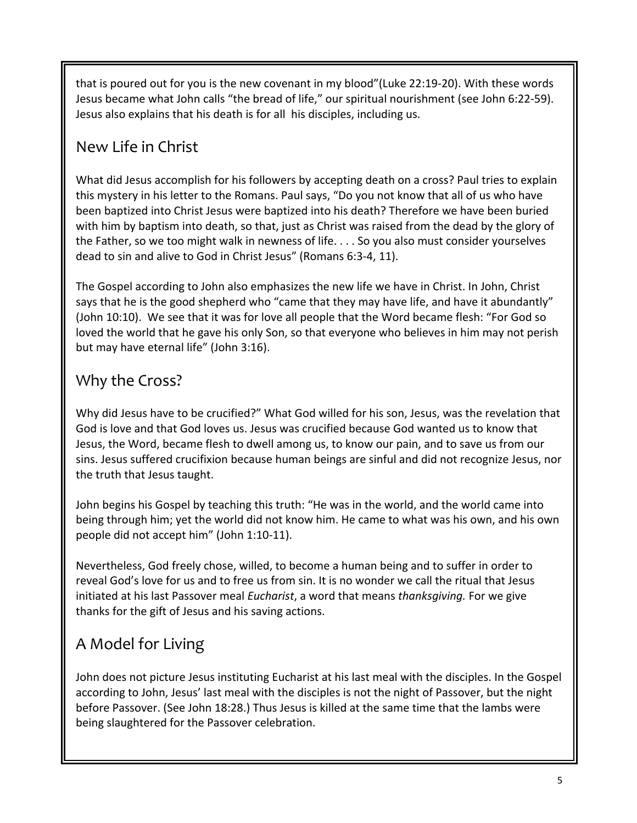that is poured out for you is the new covenant in my blood"(Luke 22:19-20). With these words Jesus became what John calls "the bread of life," our spiritual nourishment (see John 6:22-59). Jesus also explains that his death is for all his disciples, including us.

## New Life in Christ

What did Jesus accomplish for his followers by accepting death on a cross? Paul tries to explain this mystery in his letter to the Romans. Paul says, "Do you not know that all of us who have been baptized into Christ Jesus were baptized into his death? Therefore we have been buried with him by baptism into death, so that, just as Christ was raised from the dead by the glory of the Father, so we too might walk in newness of life. . . . So you also must consider yourselves dead to sin and alive to God in Christ Jesus" (Romans 6:3-4, 11).

The Gospel according to John also emphasizes the new life we have in Christ. In John, Christ says that he is the good shepherd who "came that they may have life, and have it abundantly" (John 10:10). We see that it was for love all people that the Word became flesh: "For God so loved the world that he gave his only Son, so that everyone who believes in him may not perish but may have eternal life" (John 3:16).

## Why the Cross?

Why did Jesus have to be crucified?" What God willed for his son, Jesus, was the revelation that God is love and that God loves us. Jesus was crucified because God wanted us to know that Jesus, the Word, became flesh to dwell among us, to know our pain, and to save us from our sins. Jesus suffered crucifixion because human beings are sinful and did not recognize Jesus, nor the truth that Jesus taught.

John begins his Gospel by teaching this truth: "He was in the world, and the world came into being through him; yet the world did not know him. He came to what was his own, and his own people did not accept him" (John 1:10-11).

Nevertheless, God freely chose, willed, to become a human being and to suffer in order to reveal God's love for us and to free us from sin. It is no wonder we call the ritual that Jesus initiated at his last Passover meal *Eucharist*, a word that means *thanksgiving.* For we give thanks for the gift of Jesus and his saving actions.

## A Model for Living

John does not picture Jesus instituting Eucharist at his last meal with the disciples. In the Gospel according to John, Jesus' last meal with the disciples is not the night of Passover, but the night before Passover. (See John 18:28.) Thus Jesus is killed at the same time that the lambs were being slaughtered for the Passover celebration.